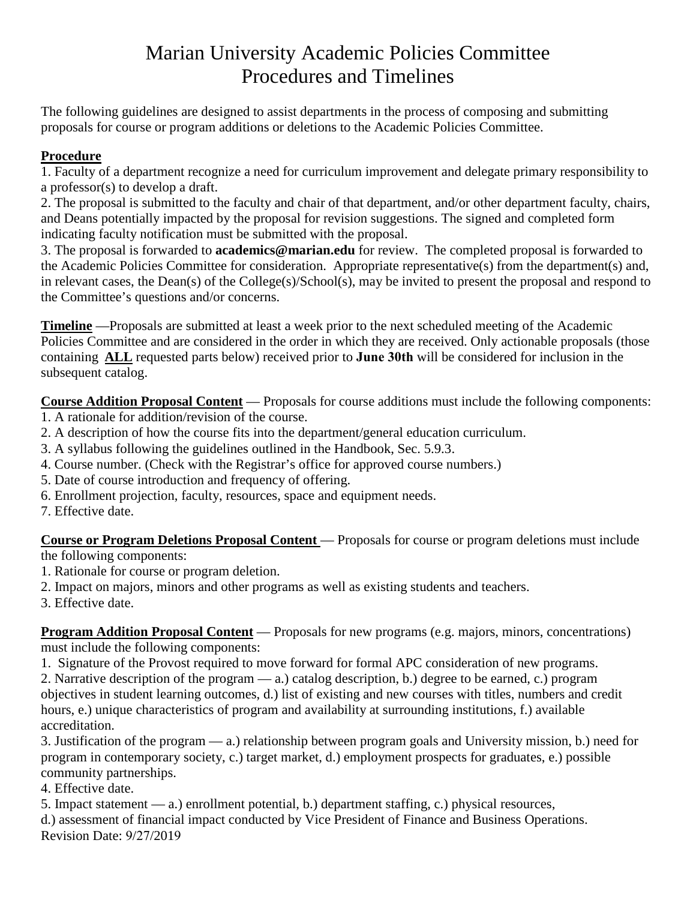# Marian University Academic Policies Committee Procedures and Timelines

The following guidelines are designed to assist departments in the process of composing and submitting proposals for course or program additions or deletions to the Academic Policies Committee.

# **Procedure**

1. Faculty of a department recognize a need for curriculum improvement and delegate primary responsibility to a professor(s) to develop a draft.

2. The proposal is submitted to the faculty and chair of that department, and/or other department faculty, chairs, and Deans potentially impacted by the proposal for revision suggestions. The signed and completed form indicating faculty notification must be submitted with the proposal.

3. The proposal is forwarded to **academics@marian.edu** for review. The completed proposal is forwarded to the Academic Policies Committee for consideration. Appropriate representative(s) from the department(s) and, in relevant cases, the Dean(s) of the College(s)/School(s), may be invited to present the proposal and respond to the Committee's questions and/or concerns.

**Timeline** —Proposals are submitted at least a week prior to the next scheduled meeting of the Academic Policies Committee and are considered in the order in which they are received. Only actionable proposals (those containing **ALL** requested parts below) received prior to **June 30th** will be considered for inclusion in the subsequent catalog.

**Course Addition Proposal Content** — Proposals for course additions must include the following components:

- 1. A rationale for addition/revision of the course.
- 2. A description of how the course fits into the department/general education curriculum.
- 3. A syllabus following the guidelines outlined in the Handbook, Sec. 5.9.3.
- 4. Course number. (Check with the Registrar's office for approved course numbers.)
- 5. Date of course introduction and frequency of offering.
- 6. Enrollment projection, faculty, resources, space and equipment needs.

7. Effective date.

**Course or Program Deletions Proposal Content** — Proposals for course or program deletions must include the following components:

- 1. Rationale for course or program deletion.
- 2. Impact on majors, minors and other programs as well as existing students and teachers.
- 3. Effective date.

**Program Addition Proposal Content** — Proposals for new programs (e.g. majors, minors, concentrations) must include the following components:

1. Signature of the Provost required to move forward for formal APC consideration of new programs.

2. Narrative description of the program — a.) catalog description, b.) degree to be earned, c.) program objectives in student learning outcomes, d.) list of existing and new courses with titles, numbers and credit hours, e.) unique characteristics of program and availability at surrounding institutions, f.) available accreditation.

3. Justification of the program — a.) relationship between program goals and University mission, b.) need for program in contemporary society, c.) target market, d.) employment prospects for graduates, e.) possible community partnerships.

4. Effective date.

5. Impact statement — a.) enrollment potential, b.) department staffing, c.) physical resources,

d.) assessment of financial impact conducted by Vice President of Finance and Business Operations. Revision Date: 9/27/2019